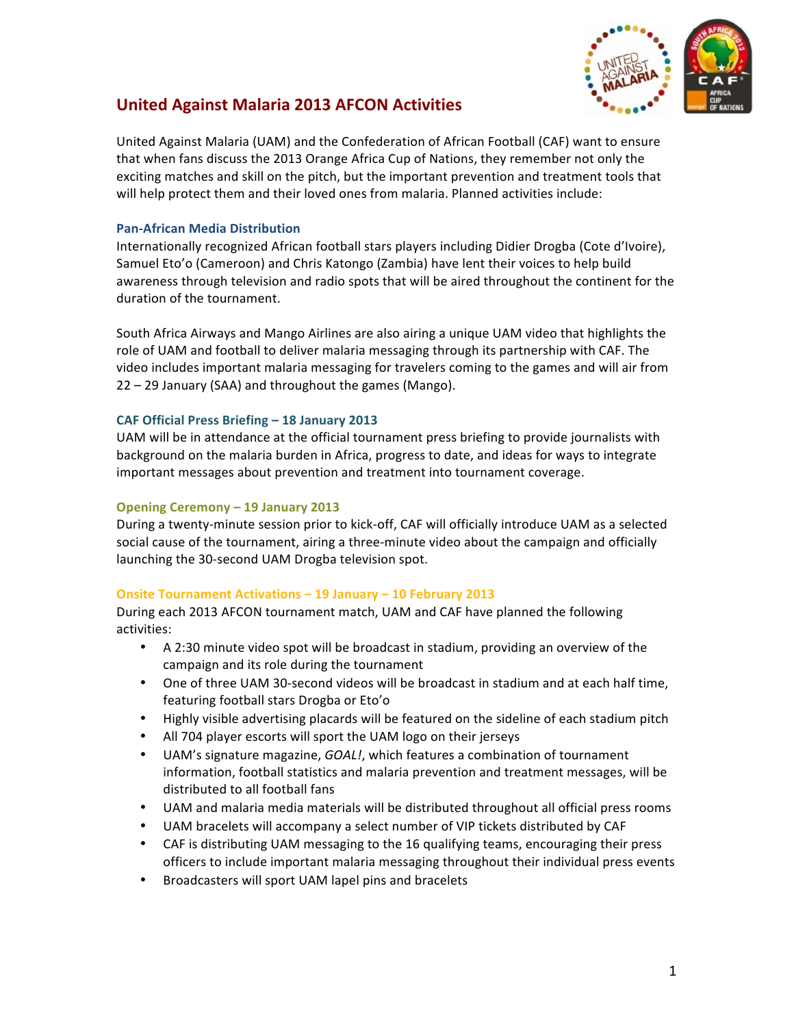

# **United Against Malaria 2013 AFCON Activities**

United Against Malaria (UAM) and the Confederation of African Football (CAF) want to ensure that when fans discuss the 2013 Orange Africa Cup of Nations, they remember not only the exciting matches and skill on the pitch, but the important prevention and treatment tools that will help protect them and their loved ones from malaria. Planned activities include:

# **Pan:African'Media'Distribution**

Internationally recognized African football stars players including Didier Drogba (Cote d'Ivoire), Samuel Eto'o (Cameroon) and Chris Katongo (Zambia) have lent their voices to help build awareness through television and radio spots that will be aired throughout the continent for the duration of the tournament.

South Africa Airways and Mango Airlines are also airing a unique UAM video that highlights the role of UAM and football to deliver malaria messaging through its partnership with CAF. The video includes important malaria messaging for travelers coming to the games and will air from  $22 - 29$  January (SAA) and throughout the games (Mango).

## **CAF'Official'Press'Briefing'– 18'January'2013'**

UAM will be in attendance at the official tournament press briefing to provide journalists with background on the malaria burden in Africa, progress to date, and ideas for ways to integrate important messages about prevention and treatment into tournament coverage.

## **Opening'Ceremony'– 19'January'2013'**

During a twenty-minute session prior to kick-off, CAF will officially introduce UAM as a selected social cause of the tournament, airing a three-minute video about the campaign and officially launching the 30-second UAM Drogba television spot.

## **Onsite'Tournament'Activations'– 19'January'– 10'February'2013**

During each 2013 AFCON tournament match, UAM and CAF have planned the following activities:

- A 2:30 minute video spot will be broadcast in stadium, providing an overview of the campaign and its role during the tournament
- One of three UAM 30-second videos will be broadcast in stadium and at each half time, featuring football stars Drogba or Eto'o
- Highly visible advertising placards will be featured on the sideline of each stadium pitch
- All 704 player escorts will sport the UAM logo on their jerseys
- UAM's signature magazine, *GOAL!*, which features a combination of tournament information, football statistics and malaria prevention and treatment messages, will be distributed to all football fans
- UAM and malaria media materials will be distributed throughout all official press rooms
- UAM bracelets will accompany a select number of VIP tickets distributed by CAF
- CAF is distributing UAM messaging to the 16 qualifying teams, encouraging their press officers to include important malaria messaging throughout their individual press events
- Broadcasters will sport UAM lapel pins and bracelets